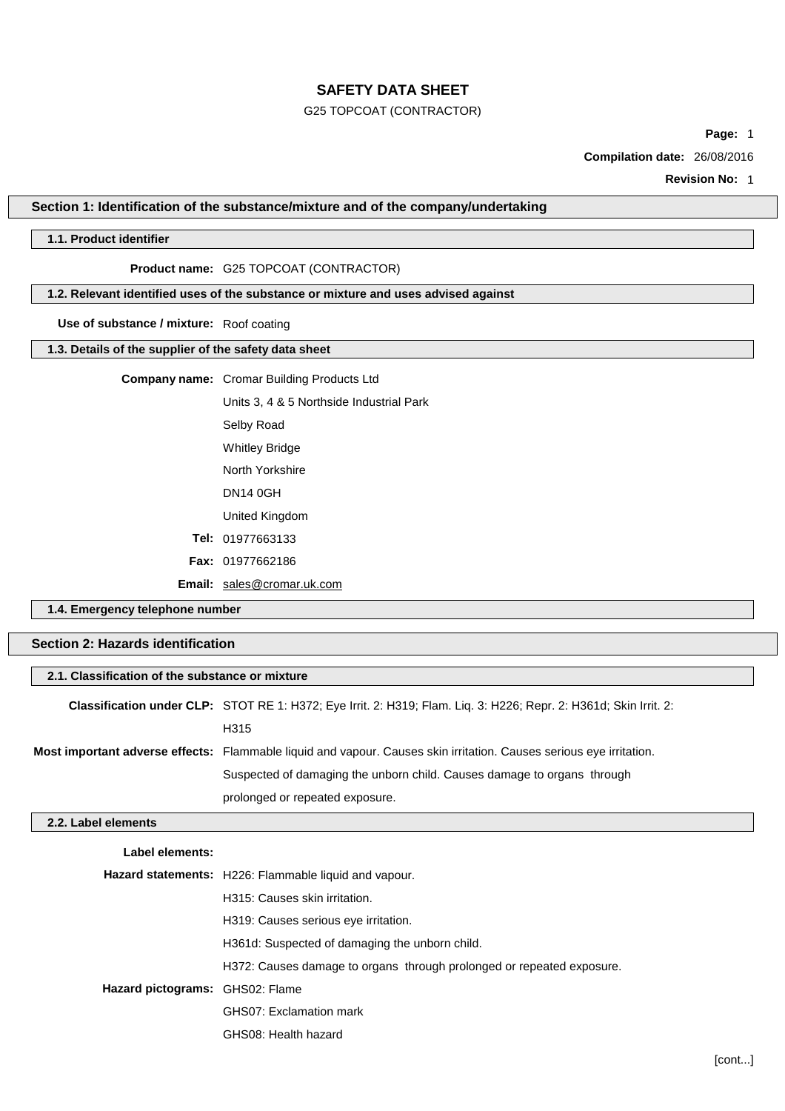## G25 TOPCOAT (CONTRACTOR)

**Page:** 1

**Compilation date:** 26/08/2016

**Revision No:** 1

## **Section 1: Identification of the substance/mixture and of the company/undertaking**

## **1.1. Product identifier**

## **Product name:** G25 TOPCOAT (CONTRACTOR)

### **1.2. Relevant identified uses of the substance or mixture and uses advised against**

**Use of substance / mixture:** Roof coating

### **1.3. Details of the supplier of the safety data sheet**

### **Company name:** Cromar Building Products Ltd

Units 3, 4 & 5 Northside Industrial Park Selby Road Whitley Bridge North Yorkshire DN14 0GH United Kingdom **Tel:** 01977663133 **Fax:** 01977662186

**Email:** [sales@cromar.uk.com](mailto:sales@cromar.uk.com)

GHS08: Health hazard

**1.4. Emergency telephone number**

# **Section 2: Hazards identification**

| 2.1. Classification of the substance or mixture |                                                                                                                            |  |
|-------------------------------------------------|----------------------------------------------------------------------------------------------------------------------------|--|
|                                                 | Classification under CLP: STOT RE 1: H372; Eye Irrit. 2: H319; Flam. Liq. 3: H226; Repr. 2: H361d; Skin Irrit. 2:          |  |
|                                                 | H315                                                                                                                       |  |
|                                                 | <b>Most important adverse effects:</b> Flammable liquid and vapour. Causes skin irritation. Causes serious eye irritation. |  |
|                                                 | Suspected of damaging the unborn child. Causes damage to organs through                                                    |  |
|                                                 | prolonged or repeated exposure.                                                                                            |  |
| 2.2. Label elements                             |                                                                                                                            |  |
| Label elements:                                 |                                                                                                                            |  |
|                                                 | Hazard statements: H226: Flammable liquid and vapour.                                                                      |  |
|                                                 | H315: Causes skin irritation.                                                                                              |  |
|                                                 | H319: Causes serious eye irritation.                                                                                       |  |
|                                                 | H361d: Suspected of damaging the unborn child.                                                                             |  |
|                                                 | H372: Causes damage to organs through prolonged or repeated exposure.                                                      |  |
| Hazard pictograms: GHS02: Flame                 |                                                                                                                            |  |
|                                                 | GHS07: Exclamation mark                                                                                                    |  |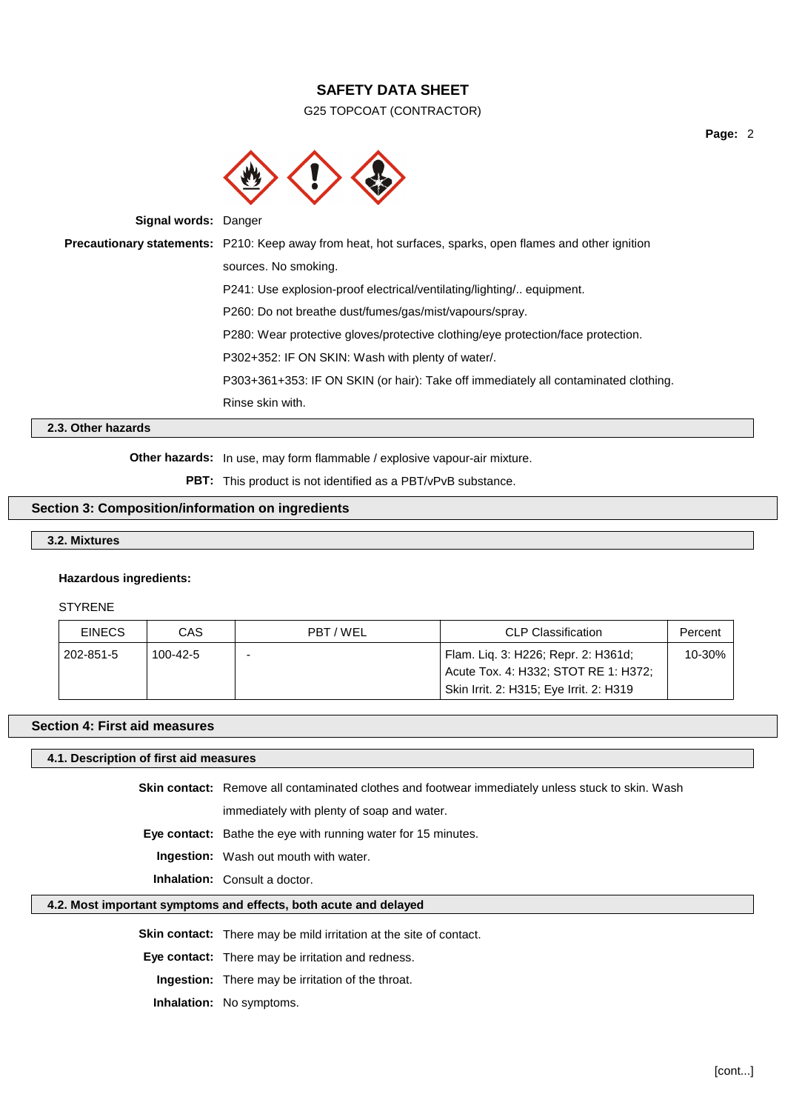G25 TOPCOAT (CONTRACTOR)



**Signal words:** Danger

**Precautionary statements:** P210: Keep away from heat, hot surfaces, sparks, open flames and other ignition sources. No smoking. P241: Use explosion-proof electrical/ventilating/lighting/.. equipment. P260: Do not breathe dust/fumes/gas/mist/vapours/spray. P280: Wear protective gloves/protective clothing/eye protection/face protection. P302+352: IF ON SKIN: Wash with plenty of water/. P303+361+353: IF ON SKIN (or hair): Take off immediately all contaminated clothing. Rinse skin with.

## **2.3. Other hazards**

**Other hazards:** In use, may form flammable / explosive vapour-air mixture.

**PBT:** This product is not identified as a PBT/vPvB substance.

## **Section 3: Composition/information on ingredients**

### **3.2. Mixtures**

#### **Hazardous ingredients:**

STYRENE

| <b>EINECS</b> | CAS      | PBT/WEL | <b>CLP Classification</b>                                                   | Percent |
|---------------|----------|---------|-----------------------------------------------------------------------------|---------|
| 202-851-5     | 100-42-5 | -       | Flam. Lig. 3: H226; Repr. 2: H361d;<br>Acute Tox. 4: H332; STOT RE 1: H372; | 10-30%  |
|               |          |         |                                                                             |         |
|               |          |         | Skin Irrit. 2: H315; Eye Irrit. 2: H319                                     |         |

#### **Section 4: First aid measures**

#### **4.1. Description of first aid measures**

**Skin contact:** Remove all contaminated clothes and footwear immediately unless stuck to skin. Wash immediately with plenty of soap and water.

**Eye contact:** Bathe the eye with running water for 15 minutes.

**Ingestion:** Wash out mouth with water.

**Inhalation:** Consult a doctor.

#### **4.2. Most important symptoms and effects, both acute and delayed**

**Skin contact:** There may be mild irritation at the site of contact.

**Eye contact:** There may be irritation and redness.

**Ingestion:** There may be irritation of the throat.

**Inhalation:** No symptoms.

**Page:** 2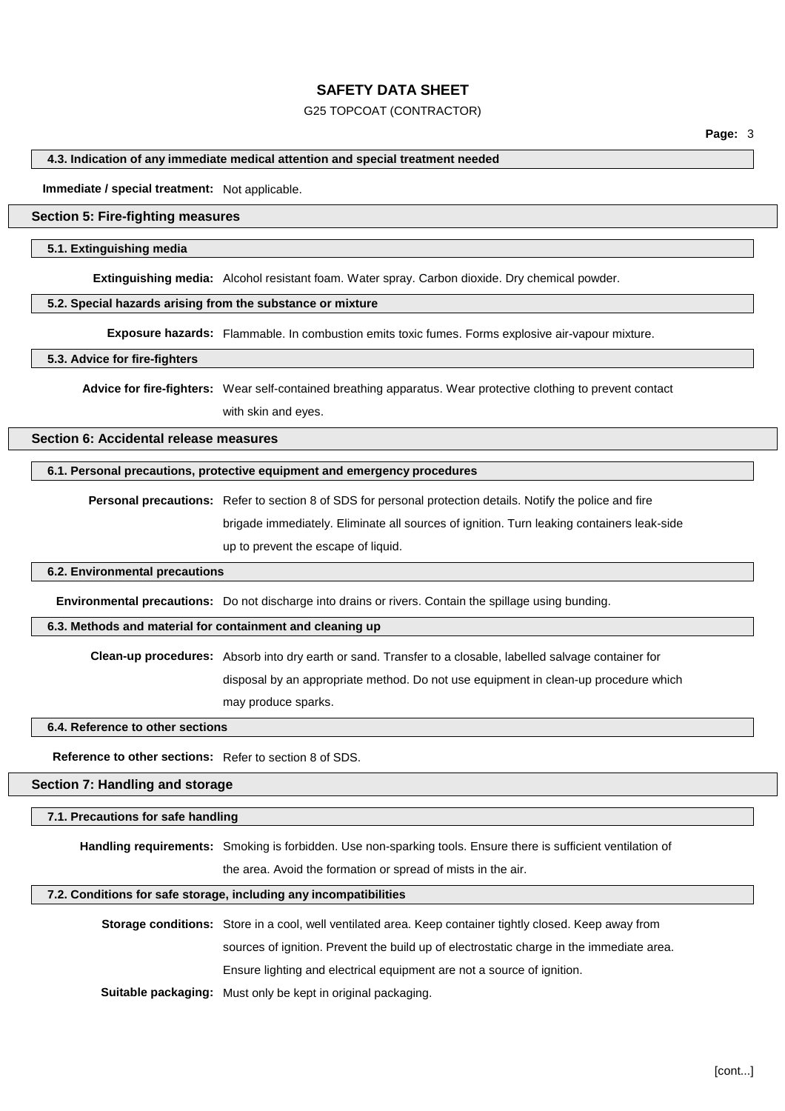### G25 TOPCOAT (CONTRACTOR)

## **4.3. Indication of any immediate medical attention and special treatment needed**

**Immediate / special treatment:** Not applicable.

## **Section 5: Fire-fighting measures**

### **5.1. Extinguishing media**

**Extinguishing media:** Alcohol resistant foam. Water spray. Carbon dioxide. Dry chemical powder.

## **5.2. Special hazards arising from the substance or mixture**

**Exposure hazards:** Flammable. In combustion emits toxic fumes. Forms explosive air-vapour mixture.

## **5.3. Advice for fire-fighters**

**Advice for fire-fighters:** Wear self-contained breathing apparatus. Wear protective clothing to prevent contact with skin and eyes.

**Section 6: Accidental release measures**

# **6.1. Personal precautions, protective equipment and emergency procedures**

**Personal precautions:** Refer to section 8 of SDS for personal protection details. Notify the police and fire brigade immediately. Eliminate all sources of ignition. Turn leaking containers leak-side up to prevent the escape of liquid.

## **6.2. Environmental precautions**

**Environmental precautions:** Do not discharge into drains or rivers. Contain the spillage using bunding.

## **6.3. Methods and material for containment and cleaning up**

**Clean-up procedures:** Absorb into dry earth or sand. Transfer to a closable, labelled salvage container for

disposal by an appropriate method. Do not use equipment in clean-up procedure which

may produce sparks.

# **6.4. Reference to other sections**

**Reference to other sections:** Refer to section 8 of SDS.

## **Section 7: Handling and storage**

## **7.1. Precautions for safe handling**

**Handling requirements:** Smoking is forbidden. Use non-sparking tools. Ensure there is sufficient ventilation of

the area. Avoid the formation or spread of mists in the air.

## **7.2. Conditions for safe storage, including any incompatibilities**

**Storage conditions:** Store in a cool, well ventilated area. Keep container tightly closed. Keep away from sources of ignition. Prevent the build up of electrostatic charge in the immediate area. Ensure lighting and electrical equipment are not a source of ignition. **Suitable packaging:** Must only be kept in original packaging.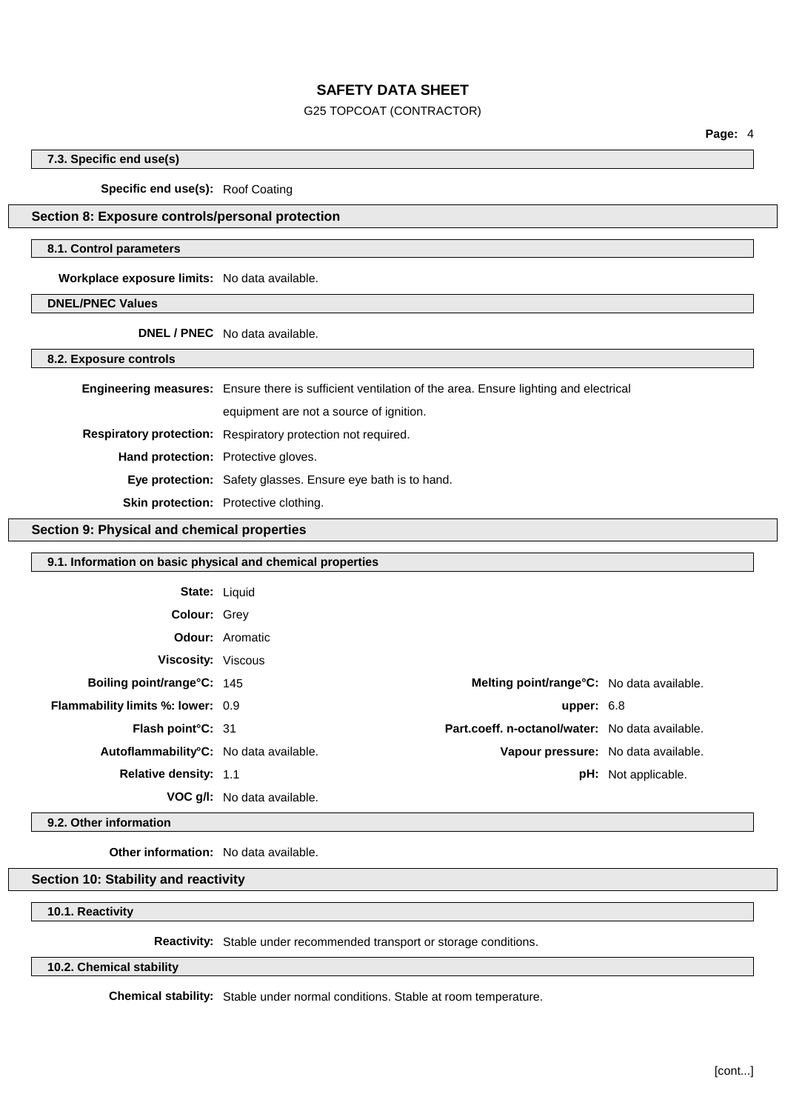### G25 TOPCOAT (CONTRACTOR)

**Page:** 4

## **7.3. Specific end use(s)**

#### **Specific end use(s):** Roof Coating

## **Section 8: Exposure controls/personal protection**

### **8.1. Control parameters**

**Workplace exposure limits:** No data available.

### **DNEL/PNEC Values**

**DNEL / PNEC** No data available.

**8.2. Exposure controls**

|                                            | <b>Engineering measures:</b> Ensure there is sufficient ventilation of the area. Ensure lighting and electrical |  |
|--------------------------------------------|-----------------------------------------------------------------------------------------------------------------|--|
|                                            | equipment are not a source of ignition.                                                                         |  |
|                                            | Respiratory protection: Respiratory protection not required.                                                    |  |
| <b>Hand protection:</b> Protective gloves. |                                                                                                                 |  |
|                                            | <b>Eye protection:</b> Safety glasses. Ensure eye bath is to hand.                                              |  |
|                                            | <b>Skin protection:</b> Protective clothing.                                                                    |  |

#### **Section 9: Physical and chemical properties**

| 9.1. Information on basic physical and chemical properties |                             |                                                   |                            |
|------------------------------------------------------------|-----------------------------|---------------------------------------------------|----------------------------|
|                                                            | <b>State: Liquid</b>        |                                                   |                            |
| <b>Colour: Grey</b>                                        |                             |                                                   |                            |
|                                                            | <b>Odour:</b> Aromatic      |                                                   |                            |
| Viscosity: Viscous                                         |                             |                                                   |                            |
| Boiling point/range°C: 145                                 |                             | <b>Melting point/range °C:</b> No data available. |                            |
| <b>Flammability limits %: lower: 0.9</b>                   |                             | upper: $6.8$                                      |                            |
| Flash point°C: 31                                          |                             | Part.coeff. n-octanol/water: No data available.   |                            |
| Autoflammability <sup>°</sup> C: No data available.        |                             | Vapour pressure: No data available.               |                            |
| <b>Relative density: 1.1</b>                               |                             |                                                   | <b>pH:</b> Not applicable. |
|                                                            | VOC q/I: No data available. |                                                   |                            |
|                                                            |                             |                                                   |                            |

#### **9.2. Other information**

**Other information:** No data available.

# **Section 10: Stability and reactivity**

**10.1. Reactivity**

**Reactivity:** Stable under recommended transport or storage conditions.

**10.2. Chemical stability**

**Chemical stability:** Stable under normal conditions. Stable at room temperature.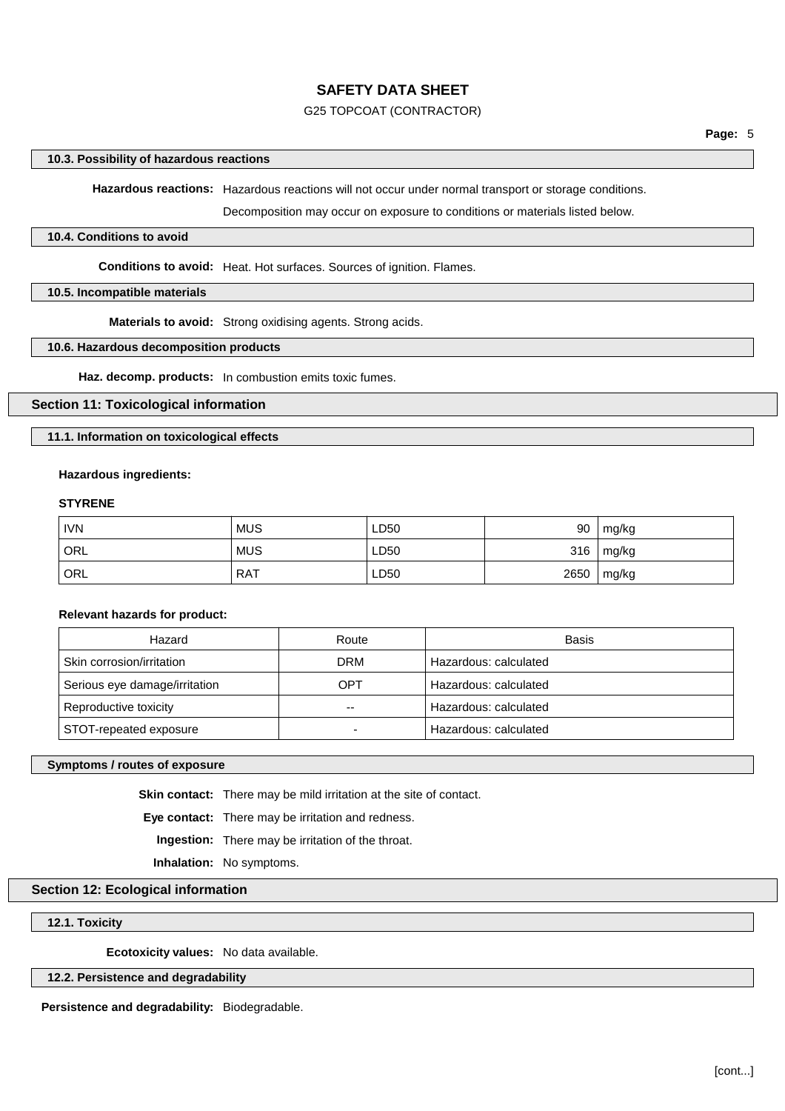### G25 TOPCOAT (CONTRACTOR)

#### **10.3. Possibility of hazardous reactions**

**Hazardous reactions:** Hazardous reactions will not occur under normal transport or storage conditions.

Decomposition may occur on exposure to conditions or materials listed below.

#### **10.4. Conditions to avoid**

**Conditions to avoid:** Heat. Hot surfaces. Sources of ignition. Flames.

#### **10.5. Incompatible materials**

**Materials to avoid:** Strong oxidising agents. Strong acids.

#### **10.6. Hazardous decomposition products**

**Haz. decomp. products:** In combustion emits toxic fumes.

### **Section 11: Toxicological information**

**11.1. Information on toxicological effects**

#### **Hazardous ingredients:**

#### **STYRENE**

| <b>IVN</b> | <b>MUS</b> | LD50 | 90   | mg/kg |
|------------|------------|------|------|-------|
| ORL        | <b>MUS</b> | LD50 | 316  | mg/kg |
| ORL        | <b>RAT</b> | LD50 | 2650 | mg/kg |

**Relevant hazards for product:**

| Hazard                        | Route      | Basis                 |
|-------------------------------|------------|-----------------------|
| Skin corrosion/irritation     | <b>DRM</b> | Hazardous: calculated |
| Serious eye damage/irritation | OPT        | Hazardous: calculated |
| Reproductive toxicity         | $- -$      | Hazardous: calculated |
| STOT-repeated exposure        |            | Hazardous: calculated |

#### **Symptoms / routes of exposure**

**Skin contact:** There may be mild irritation at the site of contact.

**Eye contact:** There may be irritation and redness.

**Ingestion:** There may be irritation of the throat.

**Inhalation:** No symptoms.

## **Section 12: Ecological information**

**12.1. Toxicity**

**Ecotoxicity values:** No data available.

#### **12.2. Persistence and degradability**

**Persistence and degradability:** Biodegradable.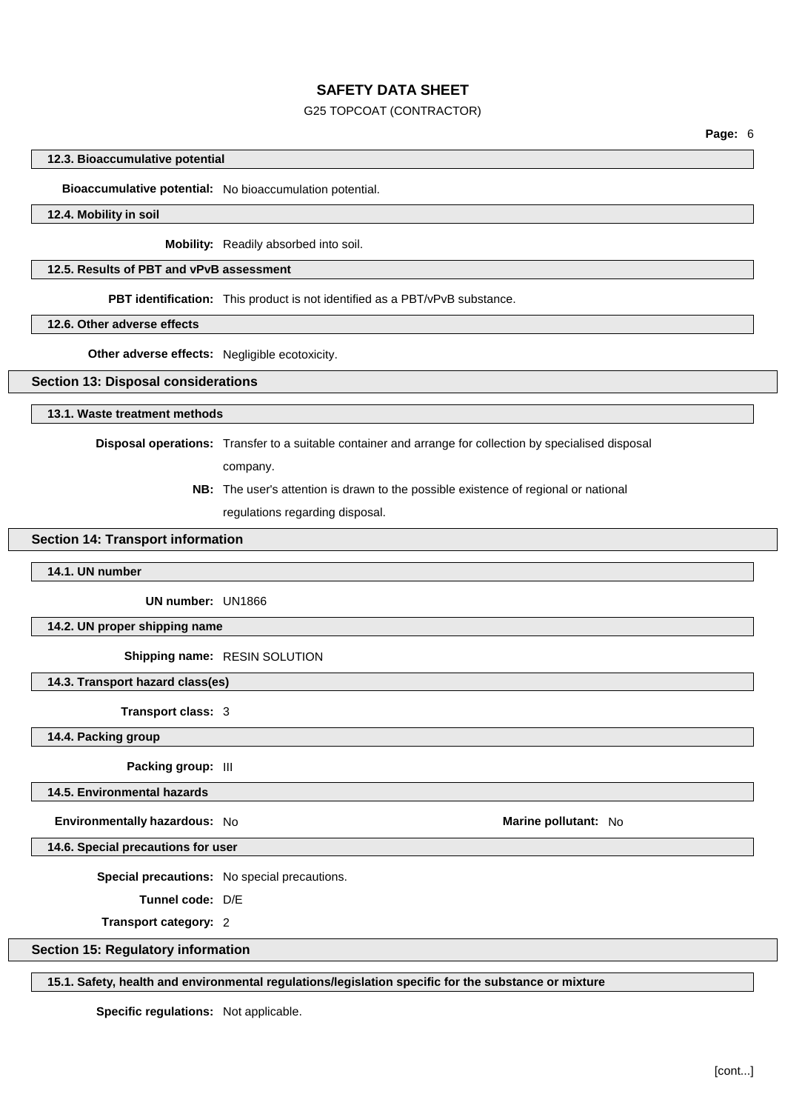### G25 TOPCOAT (CONTRACTOR)

**Page:** 6

#### **12.3. Bioaccumulative potential**

## **Bioaccumulative potential:** No bioaccumulation potential.

#### **12.4. Mobility in soil**

**Mobility:** Readily absorbed into soil.

#### **12.5. Results of PBT and vPvB assessment**

**PBT identification:** This product is not identified as a PBT/vPvB substance.

#### **12.6. Other adverse effects**

**Other adverse effects:** Negligible ecotoxicity.

### **Section 13: Disposal considerations**

**13.1. Waste treatment methods**

**Disposal operations:** Transfer to a suitable container and arrange for collection by specialised disposal

company.

**NB:** The user's attention is drawn to the possible existence of regional or national regulations regarding disposal.

### **Section 14: Transport information**

**14.1. UN number**

**UN number:** UN1866

**14.2. UN proper shipping name**

**Shipping name:** RESIN SOLUTION

**14.3. Transport hazard class(es)**

**Transport class:** 3

**14.4. Packing group**

#### **Packing group:** III

**14.5. Environmental hazards**

**Environmentally hazardous:** No **Marine Marine Marine Marine Marine Marine Marine Marine Marine Marine** 

**14.6. Special precautions for user**

**Special precautions:** No special precautions.

**Tunnel code:** D/E

**Transport category:** 2

## **Section 15: Regulatory information**

### **15.1. Safety, health and environmental regulations/legislation specific for the substance or mixture**

**Specific regulations:** Not applicable.